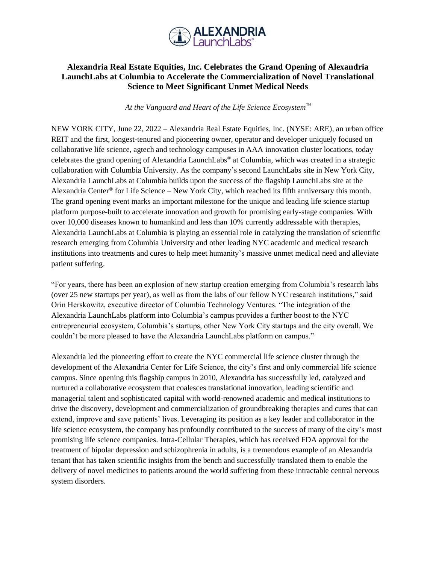

## **Alexandria Real Estate Equities, Inc. Celebrates the Grand Opening of Alexandria LaunchLabs at Columbia to Accelerate the Commercialization of Novel Translational Science to Meet Significant Unmet Medical Needs**

*At the Vanguard and Heart of the Life Science Ecosystem™*

NEW YORK CITY, June 22, 2022 – Alexandria Real Estate Equities, Inc. (NYSE: ARE), an urban office REIT and the first, longest-tenured and pioneering owner, operator and developer uniquely focused on collaborative life science, agtech and technology campuses in AAA innovation cluster locations, today celebrates the grand opening of Alexandria LaunchLabs® at Columbia, which was created in a strategic collaboration with Columbia University. As the company's second LaunchLabs site in New York City, Alexandria LaunchLabs at Columbia builds upon the success of the flagship LaunchLabs site at the Alexandria Center<sup>®</sup> for Life Science – New York City, which reached its fifth anniversary this month. The grand opening event marks an important milestone for the unique and leading life science startup platform purpose-built to accelerate innovation and growth for promising early-stage companies. With over 10,000 diseases known to humankind and less than 10% currently addressable with therapies, Alexandria LaunchLabs at Columbia is playing an essential role in catalyzing the translation of scientific research emerging from Columbia University and other leading NYC academic and medical research institutions into treatments and cures to help meet humanity's massive unmet medical need and alleviate patient suffering.

"For years, there has been an explosion of new startup creation emerging from Columbia's research labs (over 25 new startups per year), as well as from the labs of our fellow NYC research institutions," said Orin Herskowitz, executive director of Columbia Technology Ventures. "The integration of the Alexandria LaunchLabs platform into Columbia's campus provides a further boost to the NYC entrepreneurial ecosystem, Columbia's startups, other New York City startups and the city overall. We couldn't be more pleased to have the Alexandria LaunchLabs platform on campus."

Alexandria led the pioneering effort to create the NYC commercial life science cluster through the development of the Alexandria Center for Life Science, the city's first and only commercial life science campus. Since opening this flagship campus in 2010, Alexandria has successfully led, catalyzed and nurtured a collaborative ecosystem that coalesces translational innovation, leading scientific and managerial talent and sophisticated capital with world-renowned academic and medical institutions to drive the discovery, development and commercialization of groundbreaking therapies and cures that can extend, improve and save patients' lives. Leveraging its position as a key leader and collaborator in the life science ecosystem, the company has profoundly contributed to the success of many of the city's most promising life science companies. Intra-Cellular Therapies, which has received FDA approval for the treatment of bipolar depression and schizophrenia in adults, is a tremendous example of an Alexandria tenant that has taken scientific insights from the bench and successfully translated them to enable the delivery of novel medicines to patients around the world suffering from these intractable central nervous system disorders.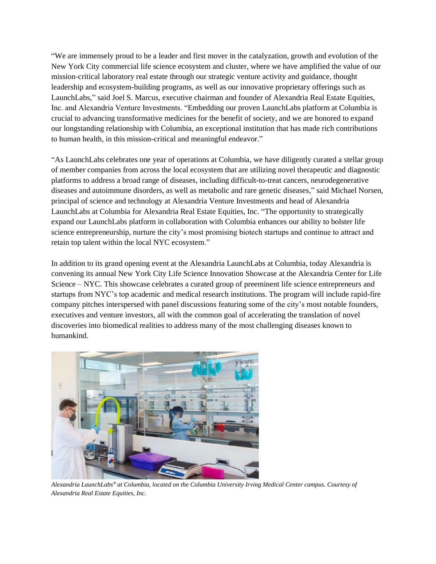"We are immensely proud to be a leader and first mover in the catalyzation, growth and evolution of the New York City commercial life science ecosystem and cluster, where we have amplified the value of our mission-critical laboratory real estate through our strategic venture activity and guidance, thought leadership and ecosystem-building programs, as well as our innovative proprietary offerings such as LaunchLabs," said Joel S. Marcus, executive chairman and founder of Alexandria Real Estate Equities, Inc. and Alexandria Venture Investments. "Embedding our proven LaunchLabs platform at Columbia is crucial to advancing transformative medicines for the benefit of society, and we are honored to expand our longstanding relationship with Columbia, an exceptional institution that has made rich contributions to human health, in this mission-critical and meaningful endeavor."

"As LaunchLabs celebrates one year of operations at Columbia, we have diligently curated a stellar group of member companies from across the local ecosystem that are utilizing novel therapeutic and diagnostic platforms to address a broad range of diseases, including difficult-to-treat cancers, neurodegenerative diseases and autoimmune disorders, as well as metabolic and rare genetic diseases," said Michael Norsen, principal of science and technology at Alexandria Venture Investments and head of Alexandria LaunchLabs at Columbia for Alexandria Real Estate Equities, Inc. "The opportunity to strategically expand our LaunchLabs platform in collaboration with Columbia enhances our ability to bolster life science entrepreneurship, nurture the city's most promising biotech startups and continue to attract and retain top talent within the local NYC ecosystem."

In addition to its grand opening event at the Alexandria LaunchLabs at Columbia, today Alexandria is convening its annual New York City Life Science Innovation Showcase at the Alexandria Center for Life Science – NYC. This showcase celebrates a curated group of preeminent life science entrepreneurs and startups from NYC's top academic and medical research institutions. The program will include rapid-fire company pitches interspersed with panel discussions featuring some of the city's most notable founders, executives and venture investors, all with the common goal of accelerating the translation of novel discoveries into biomedical realities to address many of the most challenging diseases known to humankind.



*Alexandria LaunchLabs® at Columbia, located on the Columbia University Irving Medical Center campus. Courtesy of Alexandria Real Estate Equities, Inc.*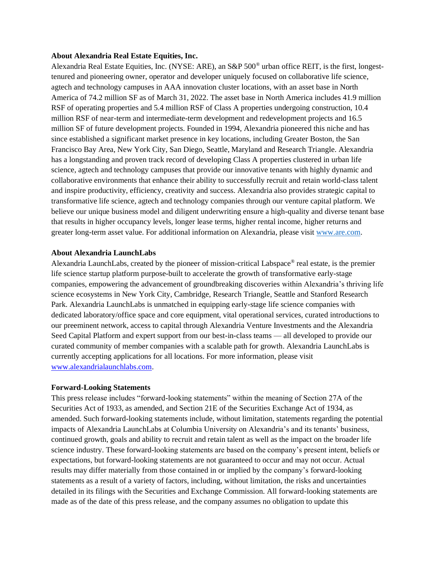## **About Alexandria Real Estate Equities, Inc.**

Alexandria Real Estate Equities, Inc. (NYSE: ARE), an S&P 500® urban office REIT, is the first, longesttenured and pioneering owner, operator and developer uniquely focused on collaborative life science, agtech and technology campuses in AAA innovation cluster locations, with an asset base in North America of 74.2 million SF as of March 31, 2022. The asset base in North America includes 41.9 million RSF of operating properties and 5.4 million RSF of Class A properties undergoing construction, 10.4 million RSF of near-term and intermediate-term development and redevelopment projects and 16.5 million SF of future development projects. Founded in 1994, Alexandria pioneered this niche and has since established a significant market presence in key locations, including Greater Boston, the San Francisco Bay Area, New York City, San Diego, Seattle, Maryland and Research Triangle. Alexandria has a longstanding and proven track record of developing Class A properties clustered in urban life science, agtech and technology campuses that provide our innovative tenants with highly dynamic and collaborative environments that enhance their ability to successfully recruit and retain world-class talent and inspire productivity, efficiency, creativity and success. Alexandria also provides strategic capital to transformative life science, agtech and technology companies through our venture capital platform. We believe our unique business model and diligent underwriting ensure a high-quality and diverse tenant base that results in higher occupancy levels, longer lease terms, higher rental income, higher returns and greater long-term asset value. For additional information on Alexandria, please visit [www.are.com.](https://www.are.com/)

## **About Alexandria LaunchLabs**

Alexandria LaunchLabs, created by the pioneer of mission-critical Labspace® real estate, is the premier life science startup platform purpose-built to accelerate the growth of transformative early-stage companies, empowering the advancement of groundbreaking discoveries within Alexandria's thriving life science ecosystems in New York City, Cambridge, Research Triangle, Seattle and Stanford Research Park. Alexandria LaunchLabs is unmatched in equipping early-stage life science companies with dedicated laboratory/office space and core equipment, vital operational services, curated introductions to our preeminent network, access to capital through Alexandria Venture Investments and the Alexandria Seed Capital Platform and expert support from our best-in-class teams — all developed to provide our curated community of member companies with a scalable path for growth. Alexandria LaunchLabs is currently accepting applications for all locations. For more information, please visit [www.alexandrialaunchlabs.com.](https://nam12.safelinks.protection.outlook.com/?url=http%3A%2F%2Fwww.alexandrialaunchlabs.com%2F&data=04%7C01%7Cmsmith%40are.com%7C0e0352be324241f540ae08d9c0badec2%7C7733d4d491f34deab0639263633dbd9b%7C0%7C0%7C637752731097704280%7CUnknown%7CTWFpbGZsb3d8eyJWIjoiMC4wLjAwMDAiLCJQIjoiV2luMzIiLCJBTiI6Ik1haWwiLCJXVCI6Mn0%3D%7C3000&sdata=H7Rzrpi3vHsJAzpH1D%2Fl1gQjB0FnMGincV2npZh0UnU%3D&reserved=0)

## **Forward-Looking Statements**

This press release includes "forward-looking statements" within the meaning of Section 27A of the Securities Act of 1933, as amended, and Section 21E of the Securities Exchange Act of 1934, as amended. Such forward-looking statements include, without limitation, statements regarding the potential impacts of Alexandria LaunchLabs at Columbia University on Alexandria's and its tenants' business, continued growth, goals and ability to recruit and retain talent as well as the impact on the broader life science industry. These forward-looking statements are based on the company's present intent, beliefs or expectations, but forward-looking statements are not guaranteed to occur and may not occur. Actual results may differ materially from those contained in or implied by the company's forward-looking statements as a result of a variety of factors, including, without limitation, the risks and uncertainties detailed in its filings with the Securities and Exchange Commission. All forward-looking statements are made as of the date of this press release, and the company assumes no obligation to update this